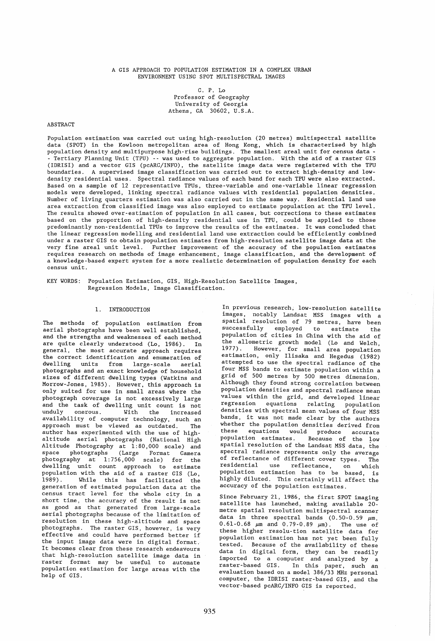### A GIS APPROACH TO POPULATION ESTIMATION IN A COMPLEX URBAN ENVIRONMENT USING SPOT MULTISPECTRAL IMAGES

C. P. Lo Professor of Geography University of Georgia Athens, GA 30602, U.S.A.

#### ABSTRACT

Population estimation was carried out using high-resolution (20 metres) multispectral satellite data (SPOT) in the Kowloon metropolitan area of Hong Kong, which is characterised by high population density and multipurpose high-rise buildings. The smallest areal unit for census data - - Tertiary Planning Unit (TPU) -- was used to aggregate population. With the aid of a raster GIS (IDRISI) and a vector GIS (pcARC/INFO), the satellite image data were registered with the TPU boundaries. A supervised image classification was carried out to extract high-density and lowdensity residential uses. Spectral radiance values of each band for each TPU were also extracted. Based on a sample of 12 representative TPUs, three-variable and one-variable linear regression models were developed, linking spectral radiance values with residential population densities. Number of living quarters estimation was also carried out in the same way. Residential land use area extraction from classified image was also employed to estimate population at the TPU level. The results showed over-estimation of population in all cases, but corrections to these estimates based on the proportion of high-density residential use in TPU, could be applied to those predominantly non-residential TPUs to improve the results of the estimates. It was concluded that the linear regression modelling and residential land use extraction could be efficiently combined under a raster GIS to obtain population estimates from high-resolution satellite image data at the very fine areal unit level. Further improvement of the accuracy of the population estimates requires research on methods of image enhancement, image classification, and the development of a knowledge-based expert system for a more realistic determination of population density for each census unit.

KEY WORDS: Population Estimation, GIS, High-Resolution Satellite Images, Regression Models, Image Classification.

### 1. INTRODUCTION

The methods of population estimation from aerial photographs have been well established, and the strengths and weaknesses of each method are quite clearly understood (Lo, 1986). In general, the most accurate approach requires the correct identification and enumeration of dwelling units from large-scale aerial photographs and an exact knowledge of household sizes of different dwelling types (Watkins and Morrow-Jones, 1985). However, this approach is only suited for use in small areas where the photograph coverage is not excessively large and the task of dwelling unit count is not unduly onerous. With the increased availability of computer technology, such an approach must be viewed as outdated. The author has experimented with the use of highaltitude aerial photographs (National High Altitude Photography at 1:80,000 scale) and<br>space photographs (Large Format Camera (Large Format Camera photography at 1: 756,000 scale) for the dwelling unit count approach to estimate population with the aid of a raster GIS (Lo, While this has facilitated the generation of estimated population data at the census tract level for the whole city in a short time, the accuracy of the result is not as good as that generated from large-scale aerial photographs because of the limitation of resolution in these high-altitude and space photographs. The raster GIS, however, is very effective and could have performed better if the input image data were in digital format. It becomes clear from these research endeavours that high-resolution satellite image data in raster format may be useful to automate population estimation for large areas with the help of GIS.

In previous research, low-resolution satellite images, notably Landsat MSS images with a spatial resolution of 79 metres, have been successfully employed to estimate the population of cities in China with the aid of the allometric growth model (Lo and Welch, 1977). However, for small area population estimation, only llisaka and Hegedus (1982) attempted to use the spectral radiance of the four MSS bands to estimate population within a grid of 500 metres by 500 metres dimension. Although they found strong correlation between population densities and spectral radiance mean values within the grid, and developed linear regression equations relating population densities with spectral mean values of four MSS bands, it was not made clear by the authors whether the population densities derived from these equations would produce accurate population estimates. Because of the low spatial resolution of the Landsat MSS data, the spectral radiance represents only the average of reflectance of different cover types. The residential use reflectance, on which population estimation has to be based, is .<br>highly diluted. This certainly will affect the accuracy of the population estimates.

Since February 21, 1986, the first SPOT imaging satellite has launched, making available 20 metre spatial resolution multispectral scanner data in three spectral bands  $(0.50-0.59 \mu m,$  $0.61-0.68$   $\mu$ m and  $0.79-0.89$   $\mu$ m). The use of these higher reso1u-tion satellite data for population estimation has not yet been fully tested. Because of the availability of these data in digital form, they can be readily imported to a computer and analyzed by a raster-based GIS. In this paper, such an evaluation based on a model 386/33 MHz personal computer, the IDRISI raster-based GIS, and the vector-based pcARC/INFO GIS is reported.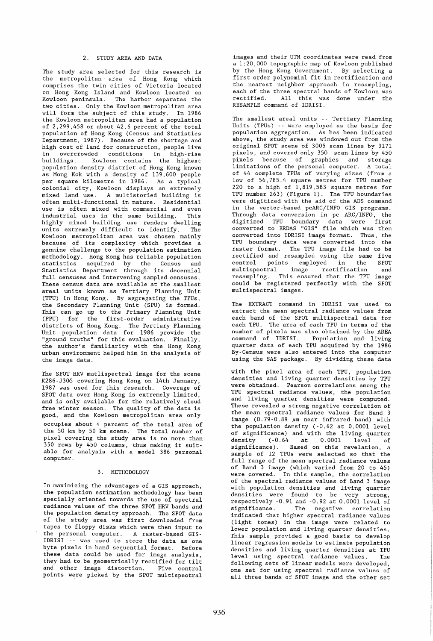# 2. STUDY AREA AND DATA

The study area selected for this research is the metropolitan area of Hong Kong which comprises the twin cities of Victoria located on Hong Kong Island and Kowloon located on Kowloon peninsula. The harbor separates the two cities. Only the Kowloon metropolitan area will form the subject of this study. In 1986 the Kowloon metropolitan area had a population of 2,299,458 or about 42.6 percent of the total population of Hong Kong (Census and Statistics Department, 1987). Because of the shortage and high cost of land for construction, people live in overcrowded conditions in high-rise buildings. Kowloon contains the highest population density district of Hong Kong known as Mong Kok with a density of 139,600 people per square kilometre in 1986. As a typical colonial city, Kowloon displays an extremely mixed land use. A multistoried building is often multi-functional in nature. Residential use is often mixed with commercial and even<br>industrial uses in the same building. This industrial uses in the same building. highly mixed building use renders dwelling units extremely difficult to identify. The Kowloon metropolitan area was chosen mainly because of its complexity which provides a genuine challenge to the population estimation methodology. Hong Kong has reliable population statistics acquired by the Census and Statistics Department through its decennial full censuses and intervening sampled censuses. These census data are available at the smallest areal units known as Tertiary Planning Unit (TPU) in Hong Kong. By aggregating the TPUs, the Secondary Planning Unit (SPU) is formed. This can go up to the Primary Planning Unit (PPU) for the first-order administrative districts of Hong Kong. The Tertiary Planning Unit population data for 1986 provide the "ground truths" for this evaluation. Finally, the author's familiarity with the Hong Kong urban environment helped him in the analysis of the image data.

The SPOT HRV mutlispectral image for the scene K286-J305 covering Hong Kong on 14th January, 1987 was used for this research. Coverage of SPOT data over Hong Kong is extremely limited, and is only available for the relatively cloud free winter season. The quality of the data is good, and the Kowloon metropolitan area only occupies about 4 percent of the total area of the 50 km by 50 km scene. The total number of pixel covering the study area is no more than 350 rows by 450 columns, thus making it suitable for analysis with a model 386 personal computer.

### 3 . METHODOLOGY

In maximizing the advantages of a GIS approach, the population estimation methodology has been specially oriented towards the use of spectral radiance values of the three SPOT HRV bands and the population density approach. The SPOT data of the study area was first downloaded from tapes to floppy disks which were then input to the personal computer. A raster-based GIS-IDRISI **--** was used to store the data as one byte pixels in band sequential format. Before these data could be used for image analysis, they had to be geometrically rectified for tilt and other image distortion. Five control points were picked by the SPOT multispectral

images and their UTM coordinates were read from a 1:20,000 topographic map of Kowloon published by the Hong Kong Government. By selecting a first order polynomial fit in rectification and the nearest neighbor approach in resampling, each of the three spectral bands of Kowloon was rectified. All this was done under the RESAMPLE command of IDRISI.

The smallest areal units **--** Tertiary Planning Units (TPUs) **--** were employed as the basis for population aggregation. As has been indicated above, the study area was windowed out from the original SPOT scene of 3005 scan lines by 3171 pixels, and covered only 350 scan lines by 450 pixels because of graphics and storage limitations of the personal computer. A total of 44 complete TPUs of varying sizes (from a low of 56,785.4 square metres for TPU number 220 to a high of 1,819,583 square metres for TPU number 263) (Figure 1). The TPU boundaries were digitized with the aid of the ADS command in the vector-based pcARC/INFO GIS programs. Through data conversion in pc ARC/INFO, the digitized TPU boundary data were first converted to ERDAS "GIS" file which was then converted into IDRISI image format. Thus, the TPU boundary data were converted into the raster format. The TPU image file had to be rectified and resampled using the same five control points employed in the multispectral image rectification and resampling. This ensured that the TPU image could be registered perfectly with the SPOT multispectral images.

The EXTRACT command in IDRISI was used to extract the mean spectral radiance values from each band of the SPOT multispectral data for each TPU. The area of each TPU in terms of the number of pixels was also obtained by the AREA command of IDRISI. Population and living quarter data of each TPU acquired by the 1986 By-Census were also entered into the computer using the SAS package. By dividing these data

with the pixel area of each TPU, population densities and living quarter densities by TPU were obtained. Pearson correlations among the TPU spectral radiance values, the population and living quarter densities were computed. These revealed a strong negative correlation of the mean spectral radiance values for Band 3 image  $(0.79-0.89 \mu m$  near infrared band) with the population density (-0.62 at 0.0001 level of significance) and with the living quarter<br>density (-0.64 at 0.0001 level of  $(-0.64 \text{ at } 0.0001$ significance). Based on this revelation, a sample of 12 TPUs were selected so that the full range of the mean spectral radiance values of Band 3 image (which varied from 20 to 45) were covered. In this sample, the correlation of the spectral radiance values of Band 3 image with population densities and living quarter densities were found to be very strong, respectively -0.91 and -0.92 at 0.0001 level of significance. The negative correlation indicated that higher spectral radiance values (light tones) in the image were related to lower population and living quarter densities. This sample provided a good basis to develop linear regression models to estimate population densities and living quarter densities at TPU level using spectral radiance values. The following sets of linear models were developed, one set for using spectral radiance values of all three bands of SPOT image and the other set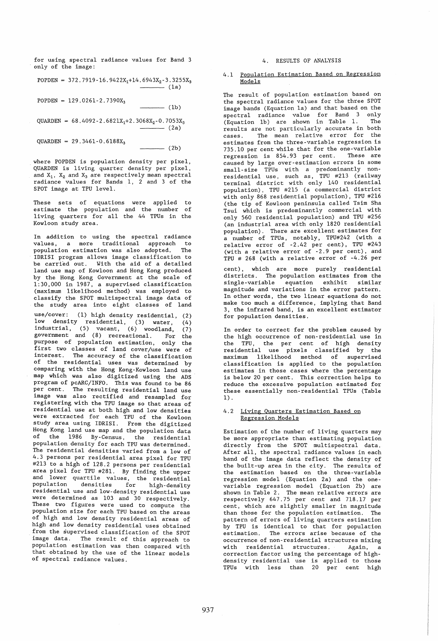for using spectral radiance values for Band 3 only of the image:

POPDEN =  $372.7919 - 16.9422X_1 + 14.6943X_2 - 3.3255X_3$  $-$  (1a)

 $-$  (1b)

 $(2h)$ 

 $POPDEN = 129.0261 - 2.7390X_3$ 

 $QUARDEN = 68.4092 - 2.6821X_1 + 2.3068X_2 - 0.7053X_3$  $- (2a)$ 

 $QUARDEN = 29.3461 - 0.6188X_3$ 

. where POPDEN is population density per pixel, QUARDEN is living quarter density per pixel, and  $X_1$ ,  $X_2$  and  $X_3$  are respectively mean spectral radiance values for Bands 1, 2 and 3 of the SPOT image at TPU level.

These sets of equations were applied to estimate the population and the number of living quarters for all the 44 TPUs in the Kowloon study area.

In addition to using the spectral radiance values, a more traditional approach to population estimation was also adopted. The IDRISI program allows image classification to be carried out. With the aid of a detailed land use map of Kowloon and Hong Kong produced by the Hong Kong Government at the scale of 1:30,000 in 1987, a supervised classification (maximum likelihood method) was employed to classify the SPOT multispectral image data of the study area into eight classes of land

use/cover: (1) high density residential, (2) low density residential, (3) water, (4) industrial,  $(5)$  vacant,  $(6)$  woodland,  $(7)$ government and (8) recreational. For the purpose of population estimation, only the first two classes of land cover/use were of interest. The accuracy of the classification of the residential uses was determined by comparing with the Hong Kong-Kowloon land use map which was also digitized using the ADS program of pcARC/INFO. This was found to be 86 per cent. The resulting residential land use image was also rectified and resampled for registering with the TPU image so that areas of residential use at both high and low densities were extracted for each TPU of the Kowloon study area using IDRISI. From the digitized Hong Kong land use map and the population data of the 1986 By-Census, the residential population density for each TPU was determined. The residential densities varied from a low of 4.3 persons per residential area pixel for TPU #213 to a high of 128.2 persons per residential area pixel for TPU #281. By finding the upper and lower quartile values, the residential population densities for high-dens'ity residential use and low-density residential use were determined as 103 and 30 respectively. These two figures were used to compute the population size for each TPU based on the areas of high and low density residential areas of high and low density residential uses obtained from the supervised classification of the SPOT image data. The result of this approach to population estimation was then compared with that obtained by the use of the linear models of spectral radiance values.

## 4. RESULTS OF ANALYSIS

### 4.1 Population Estimation Based on Regression Models

The result of population estimation based on the spectral radiance values for the three SPOT image bands (Equation la) and that based on the spectral radiance value for Band 3 only (Equation lb) are shown in Table 1. The results are not particularly accurate in both cases. The mean relative error for the estimates from the three-variable regression is 735.10 per cent while that for the one-variable regression is 854.93 per cent. These are caused by large over-estimation errors in some small-size TPUs with a predominantly nonresidential use, such as, TPU #213 (railway terminal district with only 140 residential population), TPU #215 (a commercial district with only 868 residential population), TPU #216 (the tip of Kowloon peninsula called Tsim Sha Tsui which is predominantly commercial with only 560 residential population) and TPU #256 (an industrial area with only 1820 residential population). There are excellent estimates for a number of TPUs, notably, TPU#242 (with a relative error of -2.42 per cent), TPU #243 (with a relative error of -2.9 per cent), and TPU # 268 (with a relative error of -4.26 per

cent), which are more purely residential districts. The population estimates from the<br>single-variable equation exhibit similar  $single-variable$  equation exhibit magnitude and variations in the error pattern. In other words, the two linear equations do not make too much a difference, implying that Band 3, the infrared band, is an excellent estimator for population densities.

In order to correct for the problem caused by the high occurrence of non-residential use in the TPU, the per cent of high density residential use pixels classified by the maximum likelihood method of supervised classification is applied to the population estimates in those cases where the percentage is below 20 per cent. This correction helps to reduce the excessive population estimated for these essentially non-residential TPUs (Table 1) .

#### 4.2 Living Quarters Estimation Based on Regression Models

Estimation of the number of living quarters may be more appropriate than estimating population directly from the SPOT multispectral data. After all, the spectral radiance values in each band of the image data reflect the density of the built-up area in the city. The results of the estimation based on the three-variable regression model (Equation 2a) and the onevariable regression model (Equation 2b) are shown in Table 2. The mean relative errors are respectively 647.75 per cent and 718.17 per cent, which are slightly smaller in magnitude than those for the population estimation. The pattern of errors of living quarters estimation by TPU is identical to that for population estimation. The errors arise because of the occurrence of non-residential structures mixing with residential structures. Again, a correction factor using the percentage of highdensity residential use is applied to those TPUs with less than 20 per cent high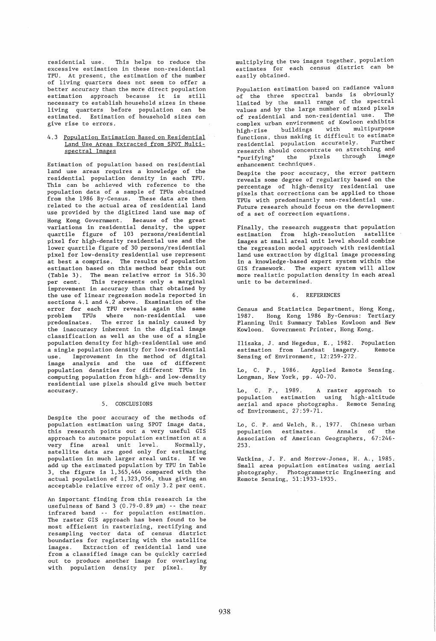residential use. This helps to reduce the excessive estimation in these non-residential TPU. At present, the estimation of the number of living quarters does not seem to offer a better accuracy than the more direct population estimation approach because it is still necessary to establish household sizes in these living quarters before population can be estimated. Estimation of household sizes can give rise to errors.

## 4.3 Population Estimation Based on Residential Land Use Areas Extracted from SPOT Multispectral Images

Estimation of population based on residential land use areas requires a knowledge of the residential population density in each TPU. This can be achieved with reference to the population data of a sample of TPUs obtained from the 1986 By-Census. These data are then related to the actual area of residential land use provided by the digitized land use map of Hong Kong Government. Because of the great variations in residential density, the upper quartile figure of 103 persons/residential pixel for high-density residential use and the lower quartile figure of 30 persons/residential pixel for low-density residential use represent at best a comprise. The results of population estimation based on this method bear this out (Table 3). The mean relative error is 516.30<br>per cent. This represents only a marginal This represents only a marginal improvement in accuracy than that obtained by the use of linear regression models reported in sections 4.1 and 4.2 above. Examination of the error for each TPU reveals again the same problem TPUs where non-residential use .<br>predominates. The error is mainly caused by .<br>the inaccuracy inherent in the digital image classification as well as the use of a single population density for high-residential use and a single population density for low-residential use. Improvement in the method of digital image analysis and the use of different population densities for different TPUs in computing population from high- and low-density residential use pixels should give much better accuracy.

### 5. CONCLUSIONS

Despite the poor accuracy of the methods of population estimation using SPOT image data, this research points out a very useful GIS approach to automate population estimation at a very fine areal unit level. Normally, satellite data are good only for estimating population in much larger areal units. If we add up the estimated population by TPU in Table 3, the figure is 1,365,464 compared with the  $\frac{1}{2}$  actual population of 1,323,056, thus giving an acceptable relative error of only 3.2 per cent.

An important finding from this research is the usefulness of Band 3 (0.79-0.89  $\mu$ m) -- the near infrared band -- for population estimation. The raster GIS approach has been found to be most efficient in rasterizing, rectifying and resampling vector data of census district boundaries for registering with the satellite images. Extraction of residential land use from a classified image can be quickly carried out to produce another image for overlaying<br>with nonulation density per pixel. By with population density per pixel.

multiplying the two images together, population estimates for each census district can be easily obtained.

Population estimation based on radiance values of the three spectral bands is obviously limited by the small range of the spectral values and by the large number of mixed pixels of residential and non-residential use. complex urban environment of Kowloon exhibits high-rise buildings with multipurpose<br>functions, thus making it difficult to estimate residential population accurately. Further research should concentrate on stretching and<br>"nurifying" the pixels through image "purifying" the pixels enhancement techniques.

Despite the poor accuracy, the error pattern reveals some degree of regularity based on the percentage of high-density residential use pixels that corrections can be applied to those TPUs with predominantly non-residential use. Future research should focus on the development of a set of correction equations.

Finally, the research suggests that population estimation from high-resolution satellite images at small areal unit level should combine the regression model approach with residential land use extraction by digital image processing in a knowledge-based expert system within the GIS framework. The expert system will allow more realistic population density in each areal unit to be determined.

#### 6. REFERENCES

Census and Statistics Department, Hong Kong, 1987. Hong Kong 1986 By-Census: Tertiary Planning Unit Summary Tables Kowloon and New Kowloon. Government Printer, Hong Kong.

Ilisaka, J. and Hegedus, E., 1982. estimation from Landsat imagery. Sensing of Environment, 12:259-272. Population Remote

Lo, C. P., 1986. Applied Remote Sensing. Longman, New York, pp. 40-70.

Lo, C. P., 1989. A raster approach to population estimation using high-altitude . .<br>aerial and space photographs. Remote Sensing of Environment, 27:59-71.

Lo, C. P. and Welch, R., 1977. Chinese urban population estimates. Annals of the Association of American Geographers, 67: 246- 253.

Watkins, J. F. and Morrow-Jones, H. A., 1985. Small area population estimates using aerial photography. Photogrammetric Engineering and Remote Sensing, 51:1933-1935.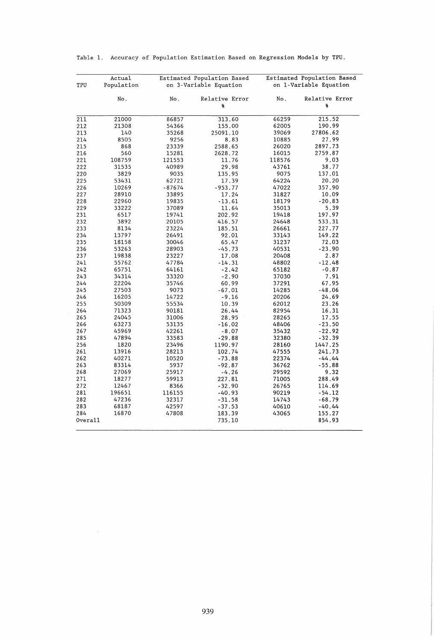| TPU     | Actual<br>Population | Estimated Population Based<br>on 3-Variable Equation |                          | Estimated Population Based<br>on 1-Variable Equation |                                           |
|---------|----------------------|------------------------------------------------------|--------------------------|------------------------------------------------------|-------------------------------------------|
|         | No.                  | No.                                                  | Relative Error<br>$\ast$ | No.                                                  | Relative Error<br>$\overline{\mathbf{8}}$ |
| 211     | 21000                | 86857                                                | 313.60                   | 66259                                                | 215.52                                    |
| 212     | 21308                | 54366                                                | 155.00                   | 62005                                                | 190.99                                    |
| 213     | 140                  | 35268                                                | 25091.10                 | 39069                                                | 27806.62                                  |
| 214     | 8505                 | 9256                                                 | 8.83                     | 10885                                                | 27.99                                     |
| 215     | 868                  | 23339                                                | 2588.65                  | 26020                                                | 2897.73                                   |
| 216     | 560                  | 15281                                                | 2628.72                  | 16015                                                | 2759.87                                   |
| 221     | 108759               | 121553                                               | 11.76                    | 118576                                               | 9.03                                      |
| 222     | 31535                | 40989                                                | 29.98                    | 43761                                                | 38.77                                     |
| 220     | 3829                 | 9035                                                 | 135.95                   | 9075                                                 | 137.01                                    |
| 225     | 53431                | 62721                                                | 17.39                    | 64224                                                | 20.20                                     |
| 226     | 10269                | $-87674$                                             | $-953.77$                | 47022                                                | 357.90                                    |
| 227     | 28910                | 33895                                                | 17.24                    | 31827                                                | 10.09                                     |
| 228     | 22960                | 19835                                                | $-13.61$                 | 18179                                                | $-20.83$                                  |
| 229     | 33222                | 37089                                                | 11.64                    | 35013                                                | 5.39                                      |
| 231     | 6517                 | 19741                                                | 202.92                   | 19418                                                | 197.97                                    |
| 232     | 3892                 | 20105                                                | 416.57                   | 24648                                                | 533.31                                    |
| 233     | 8134                 | 23224                                                | 185.51                   | 26661                                                | 227.77                                    |
| 234     | 13797                | 26491                                                | 92.01                    | 33143                                                | 149.22                                    |
| 235     | 18158                | 30046                                                | 65.47                    | 31237                                                | 72.03                                     |
| 236     | 53263                | 28903                                                | $-45.73$                 | 40531                                                | $-23.90$                                  |
| 237     | 19838                | 23227                                                | 17.08                    | 20408                                                | 2.87                                      |
| 241     | 55762                | 47784                                                | $-14.31$                 | 48802                                                | $-12.48$                                  |
| 242     | 65751                | 64161                                                | $-2.42$                  | 65182                                                | $-0.87$                                   |
| 243     | 34314                | 33320                                                | $-2.90$                  | 37030                                                | 7.91                                      |
| 244     | 22204                | 35746                                                | 60.99                    | 37291                                                | 67.95                                     |
| 245     | 27503                | 9073                                                 | $-67.01$                 | 14285                                                | $-48.06$                                  |
| 246     | 16205                | 14722                                                | $-9.16$                  | 20206                                                | 24.69                                     |
| 255     | 50309                | 55534                                                | 10.39                    | 62012                                                | 23.26                                     |
| 264     | 71323                | 90181                                                | 26.44                    | 82954                                                | 16.31                                     |
| 265     | 24045                | 31006                                                | 28.95                    | 28265                                                | 17.55                                     |
| 266     | 63273                | 53135                                                | $-16.02$                 | 48406                                                | $-23.50$                                  |
| 267     | 45969                | 42261                                                | $-8.07$                  | 35432                                                | $-22.92$                                  |
| 285     | 47894                | 33583                                                | $-29.88$                 | 32380                                                | $-32.39$                                  |
| 256     | 1820                 | 23496                                                | 1190.97                  | 28160                                                | 1447.25                                   |
| 261     | 13916                | 28213                                                | 102.74                   | 47555                                                | 241.73                                    |
| 262     | 40271                | 10520                                                | $-73.88$                 | 22374                                                | $-44.44$                                  |
| 263     | 83314                | 5937                                                 | $-92.87$                 | 36762                                                | $-55.88$                                  |
| 268     | 27069                | 25917                                                | $-4.26$                  | 29592                                                | 9.32                                      |
| 271     | 18277                | 59913                                                | 227.81                   | 71005                                                | 288.49                                    |
| 272     | 12467                | 8366                                                 | $-32.90$                 | 26765                                                | 114.69                                    |
| 281     | 196651               | 116155                                               | $-40.93$                 | 90219                                                | $-54.12$                                  |
| 282     | 47236                | 32317                                                | $-31.58$                 | 14743                                                | $-68.79$                                  |
| 283     | 68187                | 42597                                                | $-37.53$                 | 40610                                                | $-40.44$                                  |
| 284     | 16870                | 47808                                                | 183.39                   | 43065                                                | 155.27                                    |
| Overall |                      |                                                      | 735.10                   |                                                      | 854.93                                    |

Table 1. Accuracy of Population Estimation Based on Regression Models by TPU.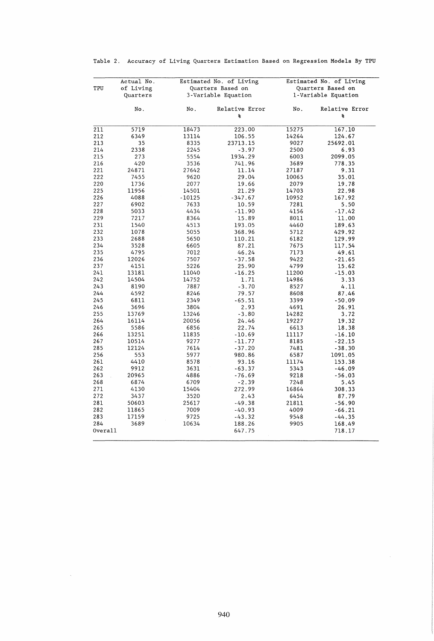| TPU        | Actual No.<br>of Living | Estimated No. of Living<br>Quarters Based on |                     | Estimated No. of Living<br>Quarters Based on |                     |
|------------|-------------------------|----------------------------------------------|---------------------|----------------------------------------------|---------------------|
|            | Quarters                |                                              | 3-Variable Equation |                                              | 1-Variable Equation |
|            | No.                     | No.                                          | Relative Error<br>8 | No.                                          | Relative Error<br>8 |
| 211        | 5719                    | 18473                                        | 223.00              | 15275                                        | 167.10              |
| 212        | 6349                    | 13114                                        | 106.55              | 14264                                        | 124.67              |
| 213        | 35                      | 8335                                         | 23713.15            | 9027                                         | 25692.01            |
| 214        | 2338                    | 2245                                         | $-3.97$             | 2500                                         | 6.93                |
| 215        | 273                     | 5554                                         | 1934.29             | 6003                                         | 2099.05             |
| 216        | 420                     | 3536                                         | 741.96              | 3689                                         | 778.35              |
| 221        | 24871                   | 27642                                        | 11.14               | 27187                                        | 9.31                |
| 222        | 7455                    | 9620                                         | 29.04               | 10065                                        | 35.01               |
| 220        | 1736                    | 2077                                         | 19.66               | 2079                                         | 19.78               |
| 225        | 11956                   | 14501                                        | 21.29               | 14703                                        | 22.98               |
| 226        | 4088                    | $-10125$                                     | $-347.67$           | 10952                                        | 167.92              |
| 227        | 6902                    | 7633                                         | 10.59               | 7281                                         | 5.50                |
| 228        | 5033                    | 4434                                         | $-11.90$            | 4156                                         | $-17.42$            |
| 229        | 7217                    | 8364                                         | 15.89               | 8011                                         | 11.00               |
| 231        | 1540                    | 4513                                         | 193.05              | 4460                                         | 189.63              |
| 232        | 1078                    | 5055                                         | 368.96              | 5712                                         | 429.92              |
| 233        | 2688                    | 5650                                         | 110.21              | 6182                                         | 129.99              |
| 234        | 3528                    | 6605                                         | 87.21               | 7675                                         | 117.54              |
| 235        | 4795                    | 7012                                         | 46.24               | 7173                                         | 49.61               |
| 236        | 12026                   | 7507                                         | $-37.58$            | 9422                                         | $-21.65$            |
| 237        | 4151                    | 5226                                         | 25.90               | 4799                                         | 15.62               |
| 241        | 13181                   | 11040                                        | $-16.25$            | 11200                                        | $-15.03$            |
| 242        | 14504                   | 14752                                        | 1.71                | 14986                                        | 3.33                |
| 243        | 8190                    | 7887                                         | $-3.70$             | 8527                                         | 4.11                |
| 244        | 4592                    | 8246                                         | 79.57               | 8608                                         | 87.46               |
| 245        | 6811                    | 2349                                         | $-65.51$            | 3399                                         | $-50.09$            |
| 246        | 3696                    | 3804                                         | 2.93                | 4691                                         | 26.91               |
| 255        | 13769                   | 13246                                        | $-3.80$             | 14282                                        | 3.72                |
| 264        | 16114                   | 20056                                        | 24.46               | 19227                                        | 19.32               |
| 265        | 5586                    | 6856                                         | 22.74               | 6613                                         | 18.38               |
| 266        | 13251                   | 11835                                        | $-10.69$            | 11117                                        | $-16.10$            |
| 267        | 10514                   | 9277                                         | $-11.77$            | 8185                                         | $-22.15$            |
| 285        | 12124                   | 7614                                         | $-37.20$            | 7481                                         | $-38.30$            |
|            |                         |                                              |                     |                                              |                     |
| 256<br>261 | 553<br>4410             | 5977<br>8578                                 | 980.86<br>93.16     | 6587<br>11174                                | 1091.05<br>153.38   |
| 262        | 9912                    |                                              |                     |                                              |                     |
|            |                         | 3631                                         | $-63.37$            | 5343                                         | $-46.09$            |
| 263        | 20965                   | 4886                                         | $-76.69$            | 9218                                         | $-56.03$            |
| 268        | 6874                    | 6709                                         | $-2.39$             | 7248                                         | 5.45                |
| 271        | 4130                    | 15404                                        | 272.99              | 16864                                        | 308.33              |
| 272        | 3437                    | 3520                                         | 2.43                | 6454                                         | 87.79               |
| 281        | 50603                   | 25617                                        | $-49.38$            | 21811                                        | $-56.90$            |
| 282        | 11865                   | 7009                                         | $-40.93$            | 4009                                         | $-66.21$            |
| 283        | 17159                   | 9725                                         | $-43.32$            | 9548                                         | $-44.35$            |
| 284        | 3689                    | 10634                                        | 188.26              | 9905                                         | 168.49              |
| Overall    |                         |                                              | 647.75              |                                              | 718.17              |

Table 2. Accuracy of Living Quarters Estimation Based on Regression Models By TPU

 $\mathcal{A}_{\mathcal{G}}$